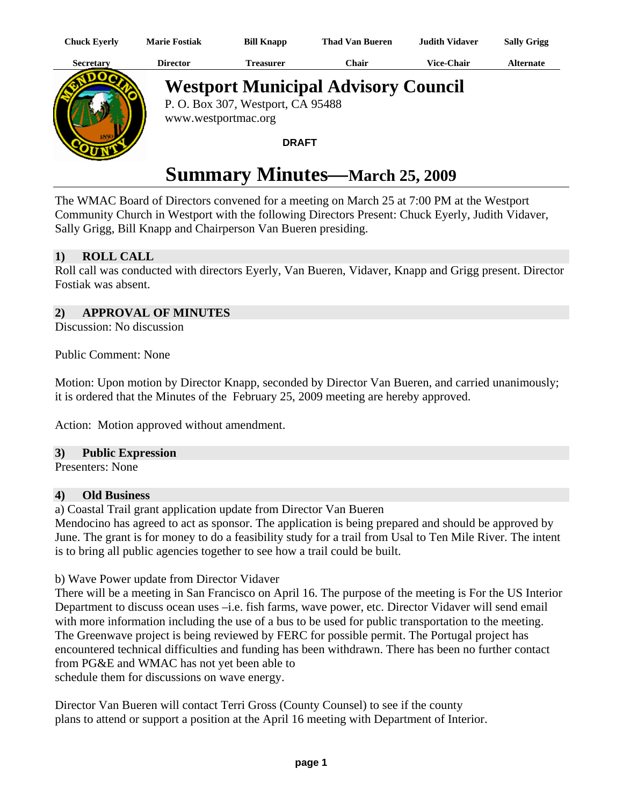| Chuck Eyerly | <b>Marie Fostiak</b> | <b>Bill Knapp</b> | <b>Thad Van Bueren</b> | <b>Judith Vidaver</b> | <b>Sally Grigg</b> |
|--------------|----------------------|-------------------|------------------------|-----------------------|--------------------|
| Secretary    | Director             | reasurer)         | ′`hair                 | <b>Vice-Chair</b>     | Alternate          |



# **Westport Municipal Advisory Council**

P. O. Box 307, Westport, CA 95488 www.westportmac.org

### **DRAFT**

# **Summary Minutes—March 25, 2009**

The WMAC Board of Directors convened for a meeting on March 25 at 7:00 PM at the Westport Community Church in Westport with the following Directors Present: Chuck Eyerly, Judith Vidaver, Sally Grigg, Bill Knapp and Chairperson Van Bueren presiding.

# **1) ROLL CALL**

Roll call was conducted with directors Eyerly, Van Bueren, Vidaver, Knapp and Grigg present. Director Fostiak was absent.

# **2) APPROVAL OF MINUTES**

Discussion: No discussion

Public Comment: None

Motion: Upon motion by Director Knapp, seconded by Director Van Bueren, and carried unanimously; it is ordered that the Minutes of the February 25, 2009 meeting are hereby approved.

Action: Motion approved without amendment.

#### **3) Public Expression**

Presenters: None

#### **4) Old Business**

a) Coastal Trail grant application update from Director Van Bueren

Mendocino has agreed to act as sponsor. The application is being prepared and should be approved by June. The grant is for money to do a feasibility study for a trail from Usal to Ten Mile River. The intent is to bring all public agencies together to see how a trail could be built.

b) Wave Power update from Director Vidaver

There will be a meeting in San Francisco on April 16. The purpose of the meeting is For the US Interior Department to discuss ocean uses –i.e. fish farms, wave power, etc. Director Vidaver will send email with more information including the use of a bus to be used for public transportation to the meeting. The Greenwave project is being reviewed by FERC for possible permit. The Portugal project has encountered technical difficulties and funding has been withdrawn. There has been no further contact from PG&E and WMAC has not yet been able to schedule them for discussions on wave energy.

Director Van Bueren will contact Terri Gross (County Counsel) to see if the county plans to attend or support a position at the April 16 meeting with Department of Interior.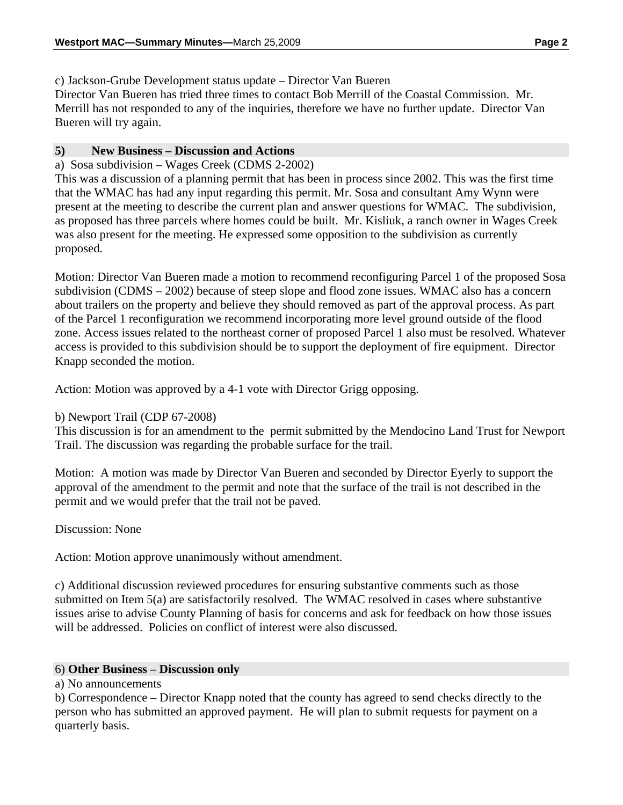c) Jackson-Grube Development status update – Director Van Bueren

Director Van Bueren has tried three times to contact Bob Merrill of the Coastal Commission. Mr. Merrill has not responded to any of the inquiries, therefore we have no further update. Director Van Bueren will try again.

## **5) New Business – Discussion and Actions**

a) Sosa subdivision – Wages Creek (CDMS 2-2002)

This was a discussion of a planning permit that has been in process since 2002. This was the first time that the WMAC has had any input regarding this permit. Mr. Sosa and consultant Amy Wynn were present at the meeting to describe the current plan and answer questions for WMAC. The subdivision, as proposed has three parcels where homes could be built. Mr. Kisliuk, a ranch owner in Wages Creek was also present for the meeting. He expressed some opposition to the subdivision as currently proposed.

Motion: Director Van Bueren made a motion to recommend reconfiguring Parcel 1 of the proposed Sosa subdivision (CDMS – 2002) because of steep slope and flood zone issues. WMAC also has a concern about trailers on the property and believe they should removed as part of the approval process. As part of the Parcel 1 reconfiguration we recommend incorporating more level ground outside of the flood zone. Access issues related to the northeast corner of proposed Parcel 1 also must be resolved. Whatever access is provided to this subdivision should be to support the deployment of fire equipment. Director Knapp seconded the motion.

Action: Motion was approved by a 4-1 vote with Director Grigg opposing.

# b) Newport Trail (CDP 67-2008)

This discussion is for an amendment to the permit submitted by the Mendocino Land Trust for Newport Trail. The discussion was regarding the probable surface for the trail.

Motion: A motion was made by Director Van Bueren and seconded by Director Eyerly to support the approval of the amendment to the permit and note that the surface of the trail is not described in the permit and we would prefer that the trail not be paved.

Discussion: None

Action: Motion approve unanimously without amendment.

c) Additional discussion reviewed procedures for ensuring substantive comments such as those submitted on Item 5(a) are satisfactorily resolved. The WMAC resolved in cases where substantive issues arise to advise County Planning of basis for concerns and ask for feedback on how those issues will be addressed. Policies on conflict of interest were also discussed.

#### 6) **Other Business – Discussion only**

a) No announcements

b) Correspondence – Director Knapp noted that the county has agreed to send checks directly to the person who has submitted an approved payment. He will plan to submit requests for payment on a quarterly basis.